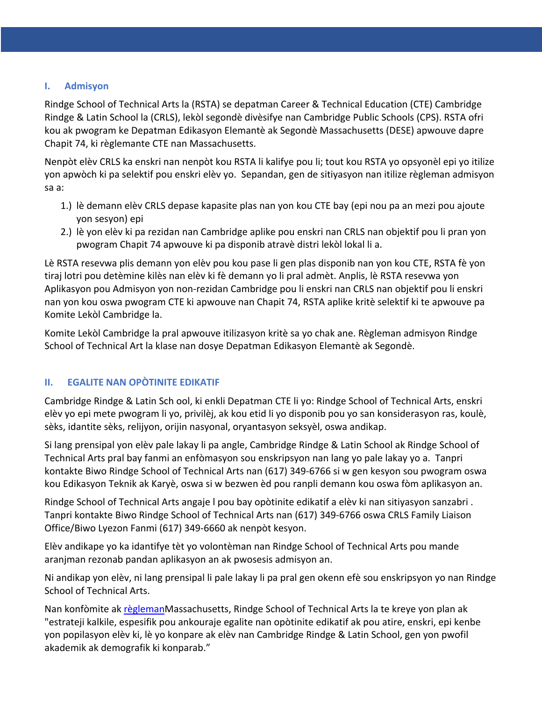#### $\mathbf{L}$ **h \\* I. Admisyon**

Rindge School of Technical Arts la (RSTA) se depatman Career & Technical Education (CTE) Cambridge **GEF** Rindge & Latin School la (CRLS), lekòl segondè divèsifye nan Cambridge Public Schools (CPS). RSTA ofri **ORM** kou ak pwogram ke Depatman Edikasyon Elemantè ak Segondè Massachusetts (DESE) apwouve dapre **AT -** Chapit 74, ki règlemante CTE nan Massachusetts.

**17 -** Nenpòt elèv CRLS ka enskri nan nenpòt kou RSTA li kalifye pou li; tout kou RSTA yo opsyonèl epi yo itilize yon apwòch ki pa selektif pou enskri elèv yo. Sepandan, gen de sitiyasyon nan itilize règleman admisyon sa a:

- 1.) lè demann elèv CRLS depase kapasite plas nan yon kou CTE bay (epi nou pa an mezi pou ajoute yon sesyon) epi
- 2.) lè yon elèv ki pa rezidan nan Cambridge aplike pou enskri nan CRLS nan objektif pou li pran yon pwogram Chapit 74 apwouve ki pa disponib atravè distri lekòl lokal li a.

Lè RSTA resevwa plis demann yon elèv pou kou pase li gen plas disponib nan yon kou CTE, RSTA fè yon tiraj lotri pou detèmine kilès nan elèv ki fè demann yo li pral admèt. Anplis, lè RSTA resevwa yon Aplikasyon pou Admisyon yon non-rezidan Cambridge pou li enskri nan CRLS nan objektif pou li enskri nan yon kou oswa pwogram CTE ki apwouve nan Chapit 74, RSTA aplike kritè selektif ki te apwouve pa Komite Lekòl Cambridge la.

Komite Lekòl Cambridge la pral apwouve itilizasyon kritè sa yo chak ane. Règleman admisyon Rindge School of Technical Art la klase nan dosye Depatman Edikasyon Elemantè ak Segondè.

# **II. EGALITE NAN OPÒTINITE EDIKATIF**

Cambridge Rindge & Latin Sch ool, ki enkli Depatman CTE li yo: Rindge School of Technical Arts, enskri elèv yo epi mete pwogram li yo, privilèj, ak kou etid li yo disponib pou yo san konsiderasyon ras, koulè, sèks, idantite sèks, relijyon, orijin nasyonal, oryantasyon seksyèl, oswa andikap.

Si lang prensipal yon elèv pale lakay li pa angle, Cambridge Rindge & Latin School ak Rindge School of Technical Arts pral bay fanmi an enfòmasyon sou enskripsyon nan lang yo pale lakay yo a. Tanpri kontakte Biwo Rindge School of Technical Arts nan (617) 349-6766 si w gen kesyon sou pwogram oswa kou Edikasyon Teknik ak Karyè, oswa si w bezwen èd pou ranpli demann kou oswa fòm aplikasyon an.

Rindge School of Technical Arts angaje l pou bay opòtinite edikatif a elèv ki nan sitiyasyon sanzabri . Tanpri kontakte Biwo Rindge School of Technical Arts nan (617) 349-6766 oswa CRLS Family Liaison Office/Biwo Lyezon Fanmi (617) 349-6660 ak nenpòt kesyon.

Elèv andikape yo ka idantifye tèt yo volontèman nan Rindge School of Technical Arts pou mande aranjman rezonab pandan aplikasyon an ak pwosesis admisyon an.

Ni andikap yon elèv, ni lang prensipal li pale lakay li pa pral gen okenn efè sou enskripsyon yo nan Rindge School of Technical Arts.

Nan konfòmite ak règlemanMassachusetts, Rindge School of Technical Arts la te kreye yon plan ak "estrateji kalkile, espesifik pou ankouraje egalite nan opòtinite edikatif ak pou atire, enskri, epi kenbe yon popilasyon elèv ki, lè yo konpare ak elèv nan Cambridge Rindge & Latin School, gen yon pwofil akademik ak demografik ki konparab."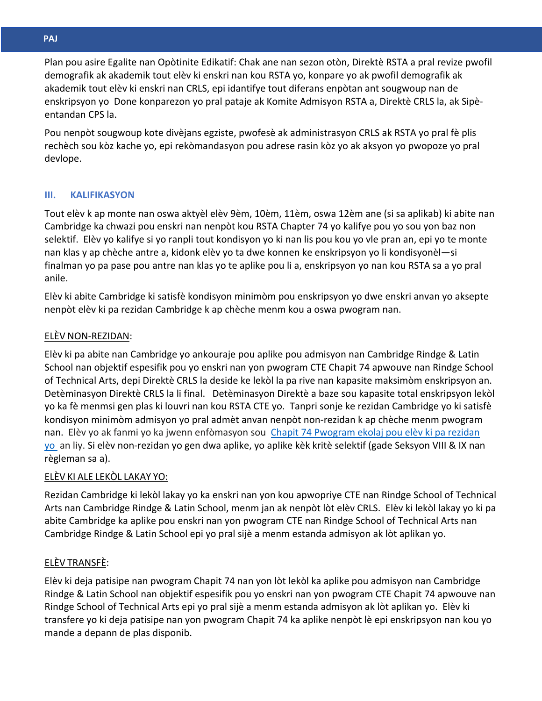**\\* Arabi** Plan pou asire Egalite nan Opòtinite Edikatif: Chak ane nan sezon otòn, Direktè RSTA a pral revize pwofil demografik ak akademik tout elèv ki enskri nan kou RSTA yo, konpare yo ak pwofil demografik ak akademik tout elèv ki enskri nan CRLS, epi idantifye tout diferans enpòtan ant sougwoup nan de enskripsyon yo Done konparezon yo pral pataje ak Komite Admisyon RSTA a, Direktè CRLS la, ak Sipè-**GEF** entandan CPS la.

Pou nenpòt sougwoup kote divèjans egziste, pwofesè ak administrasyon CRLS ak RSTA yo pral fè plis **AT -** rechèch sou kòz kache yo, epi rekòmandasyon pou adrese rasin kòz yo ak aksyon yo pwopoze yo pral **17 -** devlope.

# **III. KALIFIKASYON**

Tout elèv k ap monte nan oswa aktyèl elèv 9èm, 10èm, 11èm, oswa 12èm ane (si sa aplikab) ki abite nan Cambridge ka chwazi pou enskri nan nenpòt kou RSTA Chapter 74 yo kalifye pou yo sou yon baz non selektif. Elèv yo kalifye si yo ranpli tout kondisyon yo ki nan lis pou kou yo vle pran an, epi yo te monte nan klas y ap chèche antre a, kidonk elèv yo ta dwe konnen ke enskripsyon yo li kondisyonèl—si finalman yo pa pase pou antre nan klas yo te aplike pou li a, enskripsyon yo nan kou RSTA sa a yo pral anile.

Elèv ki abite Cambridge ki satisfè kondisyon minimòm pou enskripsyon yo dwe enskri anvan yo aksepte nenpòt elèv ki pa rezidan Cambridge k ap chèche menm kou a oswa pwogram nan.

# ELÈV NON-REZIDAN:

Elèv ki pa abite nan Cambridge yo ankouraje pou aplike pou admisyon nan Cambridge Rindge & Latin School nan objektif espesifik pou yo enskri nan yon pwogram CTE Chapit 74 apwouve nan Rindge School of Technical Arts, depi Direktè CRLS la deside ke lekòl la pa rive nan kapasite maksimòm enskripsyon an. Detèminasyon Direktè CRLS la li final. Detèminasyon Direktè a baze sou kapasite total enskripsyon lekòl yo ka fè menmsi gen plas ki louvri nan kou RSTA CTE yo. Tanpri sonje ke rezidan Cambridge yo ki satisfè kondisyon minimòm admisyon yo pral admèt anvan nenpòt non-rezidan k ap chèche menm pwogram nan. Elèv yo ak fanmi yo ka jwenn enfòmasyon sou Chapit 74 Pwogram ekolaj pou elèv ki pa rezidan yo an liy. Si elèv non-rezidan yo gen dwa aplike, yo aplike kèk kritè selektif (gade Seksyon VIII & IX nan règleman sa a).

# ELÈV KI ALE LEKÒL LAKAY YO:

Rezidan Cambridge ki lekòl lakay yo ka enskri nan yon kou apwopriye CTE nan Rindge School of Technical Arts nan Cambridge Rindge & Latin School, menm jan ak nenpòt lòt elèv CRLS. Elèv ki lekòl lakay yo ki pa abite Cambridge ka aplike pou enskri nan yon pwogram CTE nan Rindge School of Technical Arts nan Cambridge Rindge & Latin School epi yo pral sijè a menm estanda admisyon ak lòt aplikan yo.

# ELÈV TRANSFÈ:

Elèv ki deja patisipe nan pwogram Chapit 74 nan yon lòt lekòl ka aplike pou admisyon nan Cambridge Rindge & Latin School nan objektif espesifik pou yo enskri nan yon pwogram CTE Chapit 74 apwouve nan Rindge School of Technical Arts epi yo pral sijè a menm estanda admisyon ak lòt aplikan yo. Elèv ki transfere yo ki deja patisipe nan yon pwogram Chapit 74 ka aplike nenpòt lè epi enskripsyon nan kou yo mande a depann de plas disponib.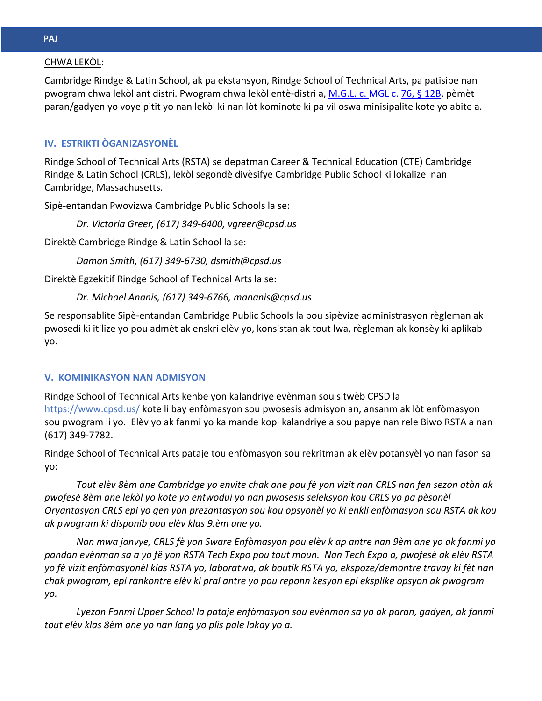# **\\***  <u>CHWA LEKÒL</u>:

Cambridge Rindge & Latin School, ak pa ekstansyon, Rindge School of Technical Arts, pa patisipe nan pwogram chwa lekòl ant distri. Pwogram chwa lekòl entè-distri a, M.G.L. c. MGL c. 76, § 12B, pèmèt paran/gadyen yo voye pitit yo nan lekòl ki nan lòt kominote ki pa vil oswa minisipalite kote yo abite a.

# **AT - IV. ESTRIKTI ÒGANIZASYONÈL**

Rindge School of Technical Arts (RSTA) se depatman Career & Technical Education (CTE) Cambridge Rindge & Latin School (CRLS), lekòl segondè divèsifye Cambridge Public School ki lokalize nan Cambridge, Massachusetts.

Sipè-entandan Pwovizwa Cambridge Public Schools la se:

*Dr. Victoria Greer, (617) 349-6400, vgreer@cpsd.us*

Direktè Cambridge Rindge & Latin School la se:

*Damon Smith, (617) 349-6730, dsmith@cpsd.us*

Direktè Egzekitif Rindge School of Technical Arts la se:

# *Dr. Michael Ananis, (617) 349-6766, mananis@cpsd.us*

Se responsablite Sipè-entandan Cambridge Public Schools la pou sipèvize administrasyon règleman ak pwosedi ki itilize yo pou admèt ak enskri elèv yo, konsistan ak tout lwa, règleman ak konsèy ki aplikab yo.

# **V. KOMINIKASYON NAN ADMISYON**

Rindge School of Technical Arts kenbe yon kalandriye evènman sou sitwèb CPSD la https://www.cpsd.us/ kote li bay enfòmasyon sou pwosesis admisyon an, ansanm ak lòt enfòmasyon sou pwogram li yo. Elèv yo ak fanmi yo ka mande kopi kalandriye a sou papye nan rele Biwo RSTA a nan (617) 349-7782.

Rindge School of Technical Arts pataje tou enfòmasyon sou rekritman ak elèv potansyèl yo nan fason sa yo:

*Tout elèv 8èm ane Cambridge yo envite chak ane pou fè yon vizit nan CRLS nan fen sezon otòn ak pwofesè 8èm ane lekòl yo kote yo entwodui yo nan pwosesis seleksyon kou CRLS yo pa pèsonèl Oryantasyon CRLS epi yo gen yon prezantasyon sou kou opsyonèl yo ki enkli enfòmasyon sou RSTA ak kou ak pwogram ki disponib pou elèv klas 9.èm ane yo.*

*Nan mwa janvye, CRLS fè yon Sware Enfòmasyon pou elèv k ap antre nan 9èm ane yo ak fanmi yo pandan evènman sa a yo fë yon RSTA Tech Expo pou tout moun. Nan Tech Expo a, pwofesè ak elèv RSTA yo fè vizit enfòmasyonèl klas RSTA yo, laboratwa, ak boutik RSTA yo, ekspoze/demontre travay ki fèt nan chak pwogram, epi rankontre elèv ki pral antre yo pou reponn kesyon epi eksplike opsyon ak pwogram yo.*

*Lyezon Fanmi Upper School la pataje enfòmasyon sou evènman sa yo ak paran, gadyen, ak fanmi tout elèv klas 8èm ane yo nan lang yo plis pale lakay yo a.*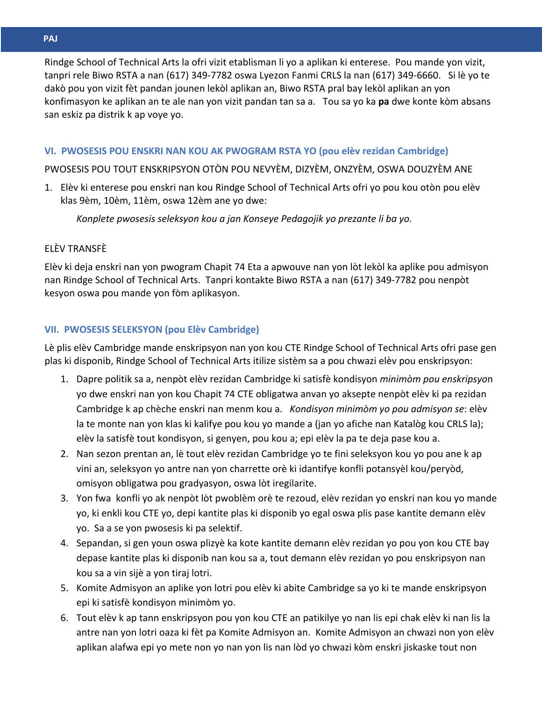**\\* Arabi** Rindge School of Technical Arts la ofri vizit etablisman li yo a aplikan ki enterese. Pou mande yon vizit, tanpri rele Biwo RSTA a nan (617) 349-7782 oswa Lyezon Fanmi CRLS la nan (617) 349-6660. Si lè yo te dakò pou yon vizit fèt pandan jounen lekòl aplikan an, Biwo RSTA pral bay lekòl aplikan an yon konfimasyon ke aplikan an te ale nan yon vizit pandan tan sa a. Tou sa yo ka **pa** dwe konte kòm absans **GEF** san eskiz pa distrik k ap voye yo.

# **AT - VI. PWOSESIS POU ENSKRI NAN KOU AK PWOGRAM RSTA YO (pou elèv rezidan Cambridge)**

**17 -** PWOSESIS POU TOUT ENSKRIPSYON OTÒN POU NEVYÈM, DIZYÈM, ONZYÈM, OSWA DOUZYÈM ANE

1. Elèv ki enterese pou enskri nan kou Rindge School of Technical Arts ofri yo pou kou otòn pou elèv klas 9èm, 10èm, 11èm, oswa 12èm ane yo dwe:

*Konplete pwosesis seleksyon kou a jan Konseye Pedagojik yo prezante li ba yo.*

# ELÈV TRANSFÈ

Elèv ki deja enskri nan yon pwogram Chapit 74 Eta a apwouve nan yon lòt lekòl ka aplike pou admisyon nan Rindge School of Technical Arts. Tanpri kontakte Biwo RSTA a nan (617) 349-7782 pou nenpòt kesyon oswa pou mande yon fòm aplikasyon.

# **VII. PWOSESIS SELEKSYON (pou Elèv Cambridge)**

Lè plis elèv Cambridge mande enskripsyon nan yon kou CTE Rindge School of Technical Arts ofri pase gen plas ki disponib, Rindge School of Technical Arts itilize sistèm sa a pou chwazi elèv pou enskripsyon:

- 1. Dapre politik sa a, nenpòt elèv rezidan Cambridge ki satisfè kondisyon *minimòm pou enskripsyo*n yo dwe enskri nan yon kou Chapit 74 CTE obligatwa anvan yo aksepte nenpòt elèv ki pa rezidan Cambridge k ap chèche enskri nan menm kou a. *Kondisyon minimòm yo pou admisyon se*: elèv la te monte nan yon klas ki kalifye pou kou yo mande a (jan yo afiche nan Katalòg kou CRLS la); elèv la satisfè tout kondisyon, si genyen, pou kou a; epi elèv la pa te deja pase kou a.
- 2. Nan sezon prentan an, lè tout elèv rezidan Cambridge yo te fini seleksyon kou yo pou ane k ap vini an, seleksyon yo antre nan yon charrette orè ki idantifye konfli potansyèl kou/peryòd, omisyon obligatwa pou gradyasyon, oswa lòt iregilarite.
- 3. Yon fwa konfli yo ak nenpòt lòt pwoblèm orè te rezoud, elèv rezidan yo enskri nan kou yo mande yo, ki enkli kou CTE yo, depi kantite plas ki disponib yo egal oswa plis pase kantite demann elèv yo. Sa a se yon pwosesis ki pa selektif.
- 4. Sepandan, si gen youn oswa plizyè ka kote kantite demann elèv rezidan yo pou yon kou CTE bay depase kantite plas ki disponib nan kou sa a, tout demann elèv rezidan yo pou enskripsyon nan kou sa a vin sijè a yon tiraj lotri.
- 5. Komite Admisyon an aplike yon lotri pou elèv ki abite Cambridge sa yo ki te mande enskripsyon epi ki satisfè kondisyon minimòm yo.
- 6. Tout elèv k ap tann enskripsyon pou yon kou CTE an patikilye yo nan lis epi chak elèv ki nan lis la antre nan yon lotri oaza ki fèt pa Komite Admisyon an. Komite Admisyon an chwazi non yon elèv aplikan alafwa epi yo mete non yo nan yon lis nan lòd yo chwazi kòm enskri jiskaske tout non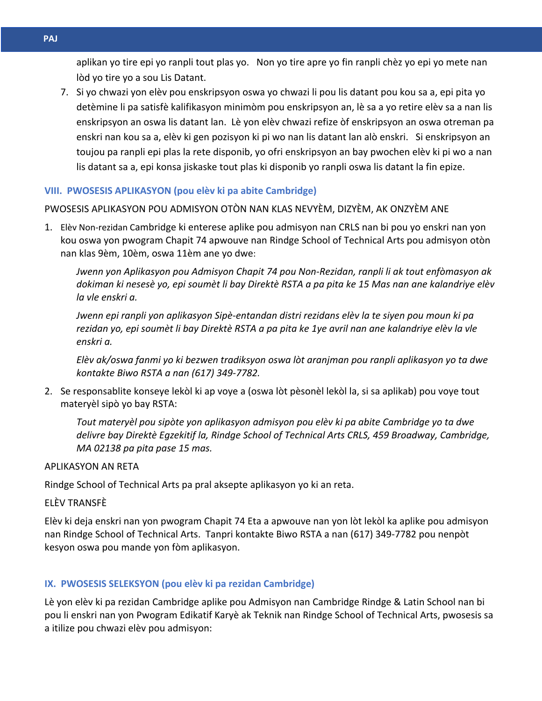aplikan yo tire epi yo ranpli tout plas yo. Non yo tire apre yo fin ranpli chèz yo epi yo mete nan lòd yo tire yo a sou Lis Datant.

7. Si yo chwazi yon elèv pou enskripsyon oswa yo chwazi li pou lis datant pou kou sa a, epi pita yo detèmine li pa satisfè kalifikasyon minimòm pou enskripsyon an, lè sa a yo retire elèv sa a nan lis enskripsyon an oswa lis datant lan. Lè yon elèv chwazi refize òf enskripsyon an oswa otreman pa enskri nan kou sa a, elèv ki gen pozisyon ki pi wo nan lis datant lan alò enskri. Si enskripsyon an toujou pa ranpli epi plas la rete disponib, yo ofri enskripsyon an bay pwochen elèv ki pi wo a nan lis datant sa a, epi konsa jiskaske tout plas ki disponib yo ranpli oswa lis datant la fin epize.

# **VIII. PWOSESIS APLIKASYON (pou elèv ki pa abite Cambridge)**

PWOSESIS APLIKASYON POU ADMISYON OTÒN NAN KLAS NEVYÈM, DIZYÈM, AK ONZYÈM ANE

1. Elèv Non-rezidan Cambridge ki enterese aplike pou admisyon nan CRLS nan bi pou yo enskri nan yon kou oswa yon pwogram Chapit 74 apwouve nan Rindge School of Technical Arts pou admisyon otòn nan klas 9èm, 10èm, oswa 11èm ane yo dwe:

*Jwenn yon Aplikasyon pou Admisyon Chapit 74 pou Non-Rezidan, ranpli li ak tout enfòmasyon ak dokiman ki nesesè yo, epi soumèt li bay Direktè RSTA a pa pita ke 15 Mas nan ane kalandriye elèv la vle enskri a.*

*Jwenn epi ranpli yon aplikasyon Sipè-entandan distri rezidans elèv la te siyen pou moun ki pa rezidan yo, epi soumèt li bay Direktè RSTA a pa pita ke 1ye avril nan ane kalandriye elèv la vle enskri a.* 

*Elèv ak/oswa fanmi yo ki bezwen tradiksyon oswa lòt aranjman pou ranpli aplikasyon yo ta dwe kontakte Biwo RSTA a nan (617) 349-7782.*

2. Se responsablite konseye lekòl ki ap voye a (oswa lòt pèsonèl lekòl la, si sa aplikab) pou voye tout materyèl sipò yo bay RSTA:

*Tout materyèl pou sipòte yon aplikasyon admisyon pou elèv ki pa abite Cambridge yo ta dwe delivre bay Direktè Egzekitif la, Rindge School of Technical Arts CRLS, 459 Broadway, Cambridge, MA 02138 pa pita pase 15 mas.*

# APLIKASYON AN RETA

Rindge School of Technical Arts pa pral aksepte aplikasyon yo ki an reta.

ELÈV TRANSFÈ

Elèv ki deja enskri nan yon pwogram Chapit 74 Eta a apwouve nan yon lòt lekòl ka aplike pou admisyon nan Rindge School of Technical Arts. Tanpri kontakte Biwo RSTA a nan (617) 349-7782 pou nenpòt kesyon oswa pou mande yon fòm aplikasyon.

# **IX. PWOSESIS SELEKSYON (pou elèv ki pa rezidan Cambridge)**

Lè yon elèv ki pa rezidan Cambridge aplike pou Admisyon nan Cambridge Rindge & Latin School nan bi pou li enskri nan yon Pwogram Edikatif Karyè ak Teknik nan Rindge School of Technical Arts, pwosesis sa a itilize pou chwazi elèv pou admisyon: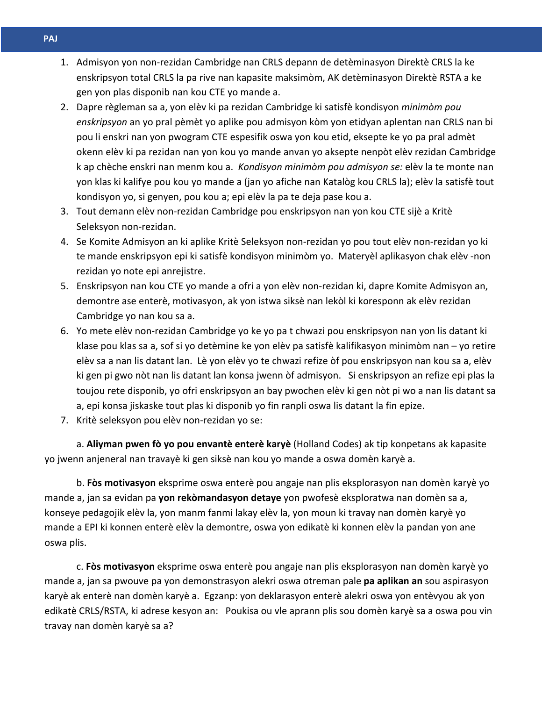- **Arabi** 1. Admisyon yon non-rezidan Cambridge nan CRLS depann de detèminasyon Direktè CRLS la ke enskripsyon total CRLS la pa rive nan kapasite maksimòm, AK detèminasyon Direktè RSTA a ke gen yon plas disponib nan kou CTE yo mande a.
	- 2. Dapre règleman sa a, yon elèv ki pa rezidan Cambridge ki satisfè kondisyon *minimòm pou enskripsyon* an yo pral pèmèt yo aplike pou admisyon kòm yon etidyan aplentan nan CRLS nan bi pou li enskri nan yon pwogram CTE espesifik oswa yon kou etid, eksepte ke yo pa pral admèt okenn elèv ki pa rezidan nan yon kou yo mande anvan yo aksepte nenpòt elèv rezidan Cambridge k ap chèche enskri nan menm kou a. *Kondisyon minimòm pou admisyon se:* elèv la te monte nan yon klas ki kalifye pou kou yo mande a (jan yo afiche nan Katalòg kou CRLS la); elèv la satisfè tout kondisyon yo, si genyen, pou kou a; epi elèv la pa te deja pase kou a.
	- 3. Tout demann elèv non-rezidan Cambridge pou enskripsyon nan yon kou CTE sijè a Kritè Seleksyon non-rezidan.
	- 4. Se Komite Admisyon an ki aplike Kritè Seleksyon non-rezidan yo pou tout elèv non-rezidan yo ki te mande enskripsyon epi ki satisfè kondisyon minimòm yo. Materyèl aplikasyon chak elèv -non rezidan yo note epi anrejistre.
	- 5. Enskripsyon nan kou CTE yo mande a ofri a yon elèv non-rezidan ki, dapre Komite Admisyon an, demontre ase enterè, motivasyon, ak yon istwa siksè nan lekòl ki koresponn ak elèv rezidan Cambridge yo nan kou sa a.
	- 6. Yo mete elèv non-rezidan Cambridge yo ke yo pa t chwazi pou enskripsyon nan yon lis datant ki klase pou klas sa a, sof si yo detèmine ke yon elèv pa satisfè kalifikasyon minimòm nan – yo retire elèv sa a nan lis datant lan. Lè yon elèv yo te chwazi refize òf pou enskripsyon nan kou sa a, elèv ki gen pi gwo nòt nan lis datant lan konsa jwenn òf admisyon. Si enskripsyon an refize epi plas la toujou rete disponib, yo ofri enskripsyon an bay pwochen elèv ki gen nòt pi wo a nan lis datant sa a, epi konsa jiskaske tout plas ki disponib yo fin ranpli oswa lis datant la fin epize.
	- 7. Kritè seleksyon pou elèv non-rezidan yo se:

a. **Aliyman pwen fò yo pou envantè enterè karyè** (Holland Codes) ak tip konpetans ak kapasite yo jwenn anjeneral nan travayè ki gen siksè nan kou yo mande a oswa domèn karyè a.

b. **Fòs motivasyon** eksprime oswa enterè pou angaje nan plis eksplorasyon nan domèn karyè yo mande a, jan sa evidan pa **yon rekòmandasyon detaye** yon pwofesè eksploratwa nan domèn sa a, konseye pedagojik elèv la, yon manm fanmi lakay elèv la, yon moun ki travay nan domèn karyè yo mande a EPI ki konnen enterè elèv la demontre, oswa yon edikatè ki konnen elèv la pandan yon ane oswa plis.

c. **Fòs motivasyon** eksprime oswa enterè pou angaje nan plis eksplorasyon nan domèn karyè yo mande a, jan sa pwouve pa yon demonstrasyon alekri oswa otreman pale **pa aplikan an** sou aspirasyon karyè ak enterè nan domèn karyè a. Egzanp: yon deklarasyon enterè alekri oswa yon entèvyou ak yon edikatè CRLS/RSTA, ki adrese kesyon an: Poukisa ou vle aprann plis sou domèn karyè sa a oswa pou vin travay nan domèn karyè sa a?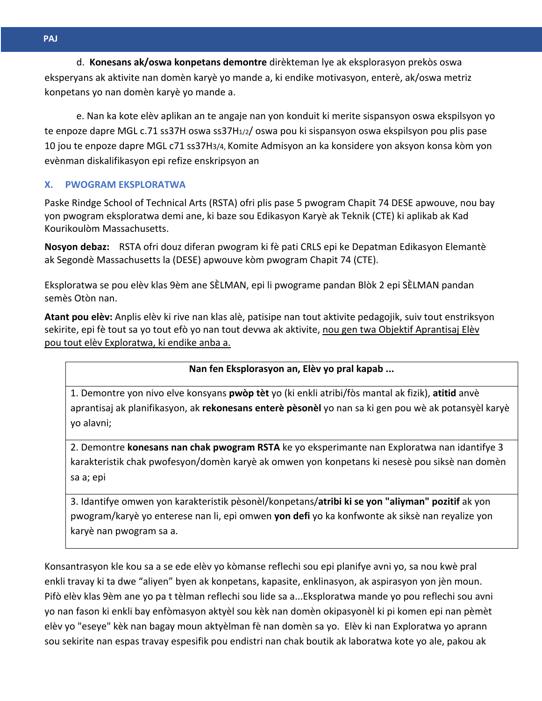**\\***  eksperyans ak aktivite nan domèn karyè yo mande a, ki endike motivasyon, enterè, ak/oswa metriz **h \\***  konpetans yo nan domèn karyè yo mande a. d. **Konesans ak/oswa konpetans demontre** dirèkteman lye ak eksplorasyon prekòs oswa

te enpoze dapre MGL c.71 ss37H oswa ss37H<sub>1/2</sub>/ oswa pou ki sispansyon oswa ekspilsyon pou plis pase **AT -** 10 jou te enpoze dapre MGL c71 ss37H3/4, Komite Admisyon an ka konsidere yon aksyon konsa kòm yon **17 -** evènman diskalifikasyon epi refize enskripsyon an e. Nan ka kote elèv aplikan an te angaje nan yon konduit ki merite sispansyon oswa ekspilsyon yo

# **X. PWOGRAM EKSPLORATWA**

Paske Rindge School of Technical Arts (RSTA) ofri plis pase 5 pwogram Chapit 74 DESE apwouve, nou bay yon pwogram eksploratwa demi ane, ki baze sou Edikasyon Karyè ak Teknik (CTE) ki aplikab ak Kad Kourikoulòm Massachusetts.

**Nosyon debaz:** RSTA ofri douz diferan pwogram ki fè pati CRLS epi ke Depatman Edikasyon Elemantè ak Segondè Massachusetts la (DESE) apwouve kòm pwogram Chapit 74 (CTE).

Eksploratwa se pou elèv klas 9èm ane SÈLMAN, epi li pwograme pandan Blòk 2 epi SÈLMAN pandan semès Otòn nan.

**Atant pou elèv:** Anplis elèv ki rive nan klas alè, patisipe nan tout aktivite pedagojik, suiv tout enstriksyon sekirite, epi fè tout sa yo tout efò yo nan tout devwa ak aktivite, nou gen twa Objektif Aprantisaj Elèv pou tout elèv Exploratwa, ki endike anba a.

# **Nan fen Eksplorasyon an, Elèv yo pral kapab ...**

1. Demontre yon nivo elve konsyans **pwòp tèt** yo (ki enkli atribi/fòs mantal ak fizik), **atitid** anvè aprantisaj ak planifikasyon, ak **rekonesans enterè pèsonèl** yo nan sa ki gen pou wè ak potansyèl karyè yo alavni;

2. Demontre **konesans nan chak pwogram RSTA** ke yo eksperimante nan Exploratwa nan idantifye 3 karakteristik chak pwofesyon/domèn karyè ak omwen yon konpetans ki nesesè pou siksè nan domèn sa a; epi

3. Idantifye omwen yon karakteristik pèsonèl/konpetans/**atribi ki se yon "aliyman" pozitif** ak yon pwogram/karyè yo enterese nan li, epi omwen **yon defi** yo ka konfwonte ak siksè nan reyalize yon karyè nan pwogram sa a.

Konsantrasyon kle kou sa a se ede elèv yo kòmanse reflechi sou epi planifye avni yo, sa nou kwè pral enkli travay ki ta dwe "aliyen" byen ak konpetans, kapasite, enklinasyon, ak aspirasyon yon jèn moun. Pifò elèv klas 9èm ane yo pa t tèlman reflechi sou lide sa a...Eksploratwa mande yo pou reflechi sou avni yo nan fason ki enkli bay enfòmasyon aktyèl sou kèk nan domèn okipasyonèl ki pi komen epi nan pèmèt elèv yo "eseye" kèk nan bagay moun aktyèlman fè nan domèn sa yo. Elèv ki nan Exploratwa yo aprann sou sekirite nan espas travay espesifik pou endistri nan chak boutik ak laboratwa kote yo ale, pakou ak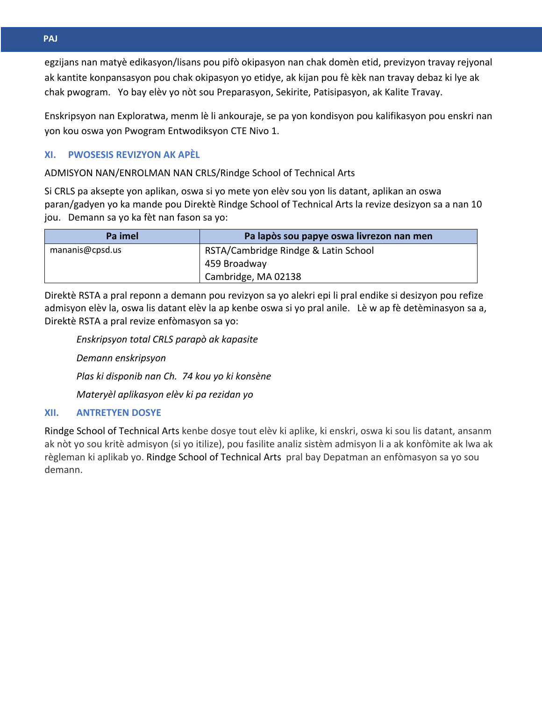**\\* Arabi** egzijans nan matyè edikasyon/lisans pou pifò okipasyon nan chak domèn etid, previzyon travay rejyonal ak kantite konpansasyon pou chak okipasyon yo etidye, ak kijan pou fè kèk nan travay debaz ki lye ak chak pwogram. Yo bay elèv yo nòt sou Preparasyon, Sekirite, Patisipasyon, ak Kalite Travay.

**GEF** Enskripsyon nan Exploratwa, menm lè li ankouraje, se pa yon kondisyon pou kalifikasyon pou enskri nan **ORM** yon kou oswa yon Pwogram Entwodiksyon CTE Nivo 1.

#### **XI. 17 - XI. PWOSESIS REVIZYON AK APÈL**

ADMISYON NAN/ENROLMAN NAN CRLS/Rindge School of Technical Arts

Si CRLS pa aksepte yon aplikan, oswa si yo mete yon elèv sou yon lis datant, aplikan an oswa paran/gadyen yo ka mande pou Direktè Rindge School of Technical Arts la revize desizyon sa a nan 10 jou. Demann sa yo ka fèt nan fason sa yo:

| Pa imel         | Pa lapòs sou papye oswa livrezon nan men |
|-----------------|------------------------------------------|
| mananis@cpsd.us | RSTA/Cambridge Rindge & Latin School     |
|                 | 459 Broadway                             |
|                 | Cambridge, MA 02138                      |

Direktè RSTA a pral reponn a demann pou revizyon sa yo alekri epi li pral endike si desizyon pou refize admisyon elèv la, oswa lis datant elèv la ap kenbe oswa si yo pral anile. Lè w ap fè detèminasyon sa a, Direktè RSTA a pral revize enfòmasyon sa yo:

# *Enskripsyon total CRLS parapò ak kapasite*

*Demann enskripsyon* 

*Plas ki disponib nan Ch. 74 kou yo ki konsène*

*Materyèl aplikasyon elèv ki pa rezidan yo*

# **XII. ANTRETYEN DOSYE**

Rindge School of Technical Arts kenbe dosye tout elèv ki aplike, ki enskri, oswa ki sou lis datant, ansanm ak nòt yo sou kritè admisyon (si yo itilize), pou fasilite analiz sistèm admisyon li a ak konfòmite ak lwa ak règleman ki aplikab yo. Rindge School of Technical Arts pral bay Depatman an enfòmasyon sa yo sou demann.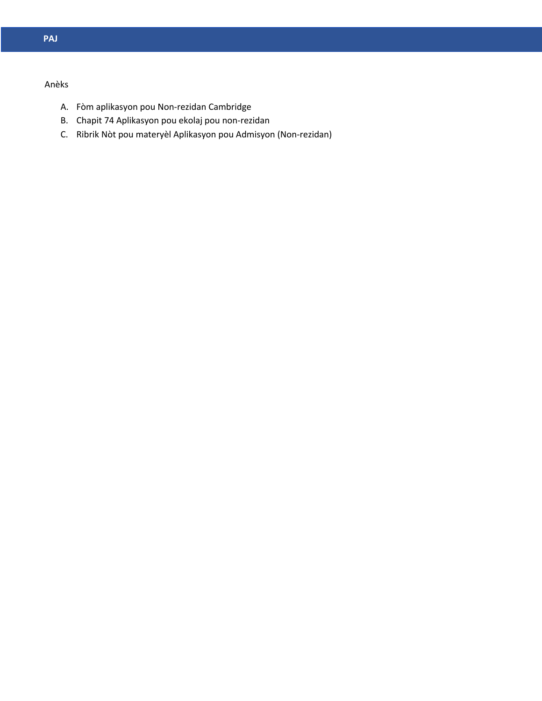# **cDas** Anèks

- **MER** A. Fòm aplikasyon pou Non-rezidan Cambridge
	- B. Chapit 74 Aplikasyon pou ekolaj pou non-rezidan
- C. Ribrik Nòt pou materyèl Aplikasyon pou Admisyon (Non-rezidan)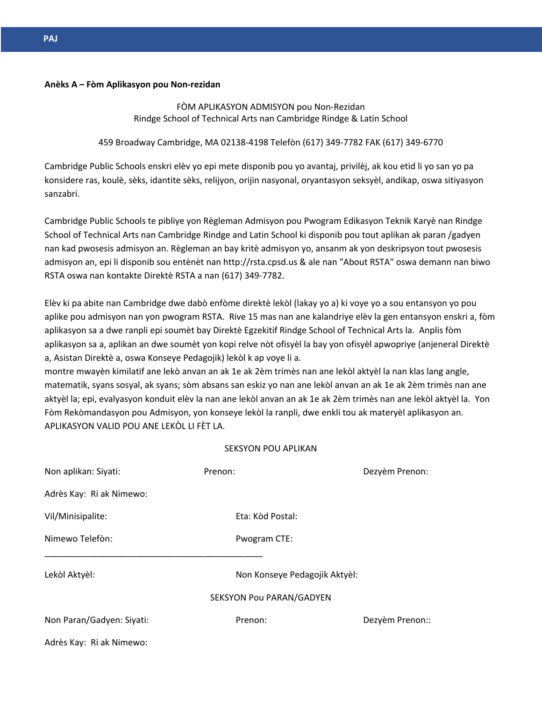# **cDas Anèks A – Fòm Aplikasyon pou Non-rezidan**

FÒM APLIKASYON ADMISYON pou Non-Rezidan Rindge School of Technical Arts nan Cambridge Rindge & Latin School

### 459 Broadway Cambridge, MA 02138-4198 Telefòn (617) 349-7782 FAK (617) 349-6770

**17 -** Cambridge Public Schools enskri elèv yo epi mete disponib pou yo avantaj, privilèj, ak kou etid li yo san yo pa konsidere ras, koulè, sèks, idantite sèks, relijyon, orijin nasyonal, oryantasyon seksyèl, andikap, oswa sitiyasyon sanzabri.

Cambridge Public Schools te pibliye yon Règleman Admisyon pou Pwogram Edikasyon Teknik Karyè nan Rindge School of Technical Arts nan Cambridge Rindge and Latin School ki disponib pou tout aplikan ak paran /gadyen nan kad pwosesis admisyon an. Règleman an bay kritè admisyon yo, ansanm ak yon deskripsyon tout pwosesis admisyon an, epi li disponib sou entènèt nan http://rsta.cpsd.us & ale nan "About RSTA" oswa demann nan biwo RSTA oswa nan kontakte Direktè RSTA a nan (617) 349-7782.

Elèv ki pa abite nan Cambridge dwe dabò enfòme direktè lekòl (lakay yo a) ki voye yo a sou entansyon yo pou aplike pou admisyon nan yon pwogram RSTA. Rive 15 mas nan ane kalandriye elèv la gen entansyon enskri a, fòm aplikasyon sa a dwe ranpli epi soumèt bay Direktè Egzekitif Rindge School of Technical Arts la. Anplis fòm aplikasyon sa a, aplikan an dwe soumèt yon kopi relve nòt ofisyèl la bay yon ofisyèl apwopriye (anjeneral Direktè a, Asistan Direktè a, oswa Konseye Pedagojik) lekòl k ap voye li a.

montre mwayèn kimilatif ane lekò anvan an ak 1e ak 2èm trimès nan ane lekòl aktyèl la nan klas lang angle, matematik, syans sosyal, ak syans; sòm absans san eskiz yo nan ane lekòl anvan an ak 1e ak 2èm trimès nan ane aktyèl la; epi, evalyasyon konduit elèv la nan ane lekòl anvan an ak 1e ak 2èm trimès nan ane lekòl aktyèl la. Yon Fòm Rekòmandasyon pou Admisyon, yon konseye lekòl la ranpli, dwe enkli tou ak materyèl aplikasyon an. APLIKASYON VALID POU ANE LEKÒL LI FÈT LA.

#### SEKSYON POU APLIKAN

| Non aplikan: Siyati:      | Prenon:                         | Dezyèm Prenon:  |
|---------------------------|---------------------------------|-----------------|
| Adrès Kay: Ri ak Nimewo:  |                                 |                 |
| Vil/Minisipalite:         | Eta: Kòd Postal:                |                 |
| Nimewo Telefòn:           | Pwogram CTE:                    |                 |
| Lekòl Aktyèl:             | Non Konseye Pedagojik Aktyèl:   |                 |
|                           | <b>SEKSYON Pou PARAN/GADYEN</b> |                 |
| Non Paran/Gadyen: Siyati: | Prenon:                         | Dezyèm Prenon:: |
| Adrès Kay: Ri ak Nimewo:  |                                 |                 |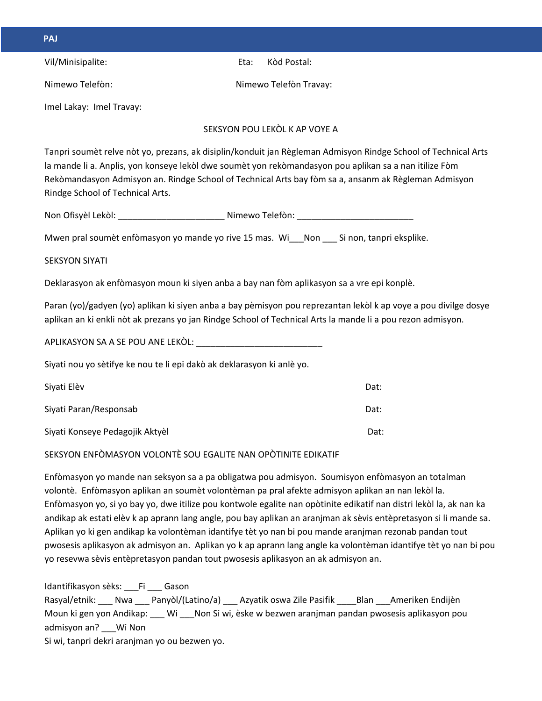| PAJ                                                                                               |      |                                                                                                                                                                                                                                                                                                                                  |
|---------------------------------------------------------------------------------------------------|------|----------------------------------------------------------------------------------------------------------------------------------------------------------------------------------------------------------------------------------------------------------------------------------------------------------------------------------|
| Vil/Minisipalite:                                                                                 | Eta: | Kòd Postal:                                                                                                                                                                                                                                                                                                                      |
| Nimewo Telefòn:                                                                                   |      | Nimewo Telefòn Travay:                                                                                                                                                                                                                                                                                                           |
| Imel Lakay: Imel Travay:                                                                          |      |                                                                                                                                                                                                                                                                                                                                  |
|                                                                                                   |      | SEKSYON POU LEKOL K AP VOYE A                                                                                                                                                                                                                                                                                                    |
| Rindge School of Technical Arts.                                                                  |      | Tanpri soumèt relve nòt yo, prezans, ak disiplin/konduit jan Règleman Admisyon Rindge School of Technical Arts<br>la mande li a. Anplis, yon konseye lekòl dwe soumèt yon rekòmandasyon pou aplikan sa a nan itilize Fòm<br>Rekòmandasyon Admisyon an. Rindge School of Technical Arts bay fòm sa a, ansanm ak Règleman Admisyon |
|                                                                                                   |      |                                                                                                                                                                                                                                                                                                                                  |
| Mwen pral soumèt enfòmasyon yo mande yo rive 15 mas. Wi Non Si non, tanpri eksplike.              |      |                                                                                                                                                                                                                                                                                                                                  |
| <b>SEKSYON SIYATI</b>                                                                             |      |                                                                                                                                                                                                                                                                                                                                  |
| Deklarasyon ak enfòmasyon moun ki siyen anba a bay nan fòm aplikasyon sa a vre epi konplè.        |      |                                                                                                                                                                                                                                                                                                                                  |
|                                                                                                   |      | Paran (yo)/gadyen (yo) aplikan ki siyen anba a bay pèmisyon pou reprezantan lekòl k ap voye a pou divilge dosye<br>aplikan an ki enkli nòt ak prezans yo jan Rindge School of Technical Arts la mande li a pou rezon admisyon.                                                                                                   |
|                                                                                                   |      |                                                                                                                                                                                                                                                                                                                                  |
| Siyati nou yo sètifye ke nou te li epi dakò ak deklarasyon ki anlè yo.                            |      |                                                                                                                                                                                                                                                                                                                                  |
| Siyati Elèv                                                                                       |      | Dat:                                                                                                                                                                                                                                                                                                                             |
| Siyati Paran/Responsab                                                                            |      | Dat:                                                                                                                                                                                                                                                                                                                             |
| Siyati Konseye Pedagojik Aktyèl                                                                   |      | Dat:                                                                                                                                                                                                                                                                                                                             |
| SEKSYON ENFÒMASYON VOLONTÈ SOU EGALITE NAN OPÒTINITE EDIKATIF                                     |      |                                                                                                                                                                                                                                                                                                                                  |
| volontè. Enfòmasyon aplikan an soumèt volontèman pa pral afekte admisyon aplikan an nan lekòl la. |      | Enfòmasyon yo mande nan seksyon sa a pa obligatwa pou admisyon. Soumisyon enfòmasyon an totalman                                                                                                                                                                                                                                 |

Enfòmasyon yo, si yo bay yo, dwe itilize pou kontwole egalite nan opòtinite edikatif nan distri lekòl la, ak nan ka andikap ak estati elèv k ap aprann lang angle, pou bay aplikan an aranjman ak sèvis entèpretasyon si li mande sa. Aplikan yo ki gen andikap ka volontèman idantifye tèt yo nan bi pou mande aranjman rezonab pandan tout pwosesis aplikasyon ak admisyon an. Aplikan yo k ap aprann lang angle ka volontèman idantifye tèt yo nan bi pou yo resevwa sèvis entèpretasyon pandan tout pwosesis aplikasyon an ak admisyon an.

| Idantifikasyon sèks: Fi<br>Gason                                                             |
|----------------------------------------------------------------------------------------------|
| Panyòl/(Latino/a) Azyatik oswa Zile Pasifik Blan<br>Rasyal/etnik: Nwa<br>Ameriken Endijèn    |
| Moun ki gen yon Andikap: Wi Non Si wi, èske w bezwen aranjman pandan pwosesis aplikasyon pou |
| admisyon an? Wi Non                                                                          |
| Si wi, tanpri dekri aranjman yo ou bezwen yo.                                                |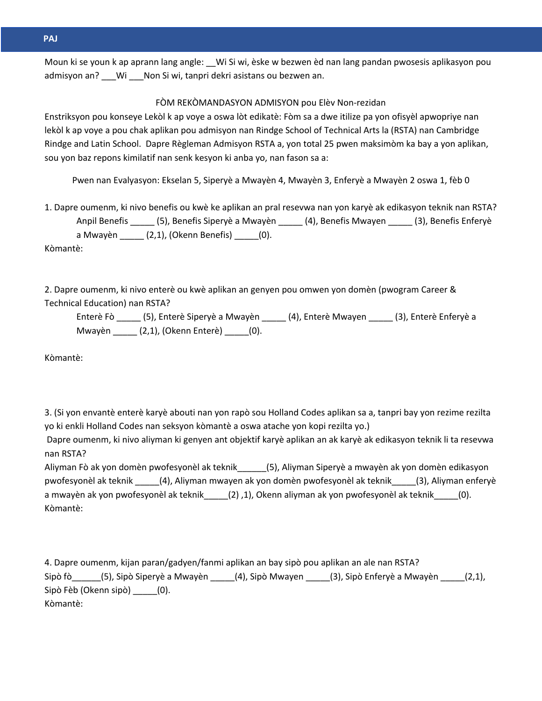**\\* Arabi** Moun ki se youn k ap aprann lang angle: \_\_Wi Si wi, èske w bezwen èd nan lang pandan pwosesis aplikasyon pou admisyon an? \_\_\_Wi \_\_\_Non Si wi, tanpri dekri asistans ou bezwen an.

### FÒM REKÒMANDASYON ADMISYON pou Elèv Non-rezidan

**GEF** Enstriksyon pou konseye Lekòl k ap voye a oswa lòt edikatè: Fòm sa a dwe itilize pa yon ofisyèl apwopriye nan lekòl k ap voye a pou chak aplikan pou admisyon nan Rindge School of Technical Arts la (RSTA) nan Cambridge **AT -** Rindge and Latin School. Dapre Règleman Admisyon RSTA a, yon total 25 pwen maksimòm ka bay a yon aplikan, **17 -** sou yon baz repons kimilatif nan senk kesyon ki anba yo, nan fason sa a:

Pwen nan Evalyasyon: Ekselan 5, Siperyè a Mwayèn 4, Mwayèn 3, Enferyè a Mwayèn 2 oswa 1, fèb 0

1. Dapre oumenm, ki nivo benefis ou kwè ke aplikan an pral resevwa nan yon karyè ak edikasyon teknik nan RSTA? Anpil Benefis \_\_\_\_\_ (5), Benefis Siperyè a Mwayèn \_\_\_\_\_ (4), Benefis Mwayen \_\_\_\_\_ (3), Benefis Enferyè a Mwayèn \_\_\_\_\_ (2,1), (Okenn Benefis) \_\_\_\_\_(0). Kòmantè:

2. Dapre oumenm, ki nivo enterè ou kwè aplikan an genyen pou omwen yon domèn (pwogram Career & Technical Education) nan RSTA?

Enterè Fò \_\_\_\_\_ (5), Enterè Siperyè a Mwayèn \_\_\_\_\_ (4), Enterè Mwayen \_\_\_\_\_ (3), Enterè Enferyè a Mwayèn \_\_\_\_\_ (2,1), (Okenn Enterè) \_\_\_\_\_(0).

Kòmantè:

3. (Si yon envantè enterè karyè abouti nan yon rapò sou Holland Codes aplikan sa a, tanpri bay yon rezime rezilta yo ki enkli Holland Codes nan seksyon kòmantè a oswa atache yon kopi rezilta yo.)

Dapre oumenm, ki nivo aliyman ki genyen ant objektif karyè aplikan an ak karyè ak edikasyon teknik li ta resevwa nan RSTA?

Aliyman Fò ak yon domèn pwofesyonèl ak teknik\_\_\_\_\_\_(5), Aliyman Siperyè a mwayèn ak yon domèn edikasyon pwofesyonèl ak teknik \_\_\_\_\_(4), Aliyman mwayen ak yon domèn pwofesyonèl ak teknik\_\_\_\_\_(3), Aliyman enferyè a mwayèn ak yon pwofesyonèl ak teknik\_\_\_\_\_(2) ,1), Okenn aliyman ak yon pwofesyonèl ak teknik\_\_\_\_\_(0). Kòmantè:

4. Dapre oumenm, kijan paran/gadyen/fanmi aplikan an bay sipò pou aplikan an ale nan RSTA? Sipò fò\_\_\_\_\_\_(5), Sipò Siperyè a Mwayèn \_\_\_\_\_(4), Sipò Mwayen \_\_\_\_\_(3), Sipò Enferyè a Mwayèn \_\_\_\_\_(2,1), Sipò Fèb (Okenn sipò) \_\_\_\_\_(0). Kòmantè: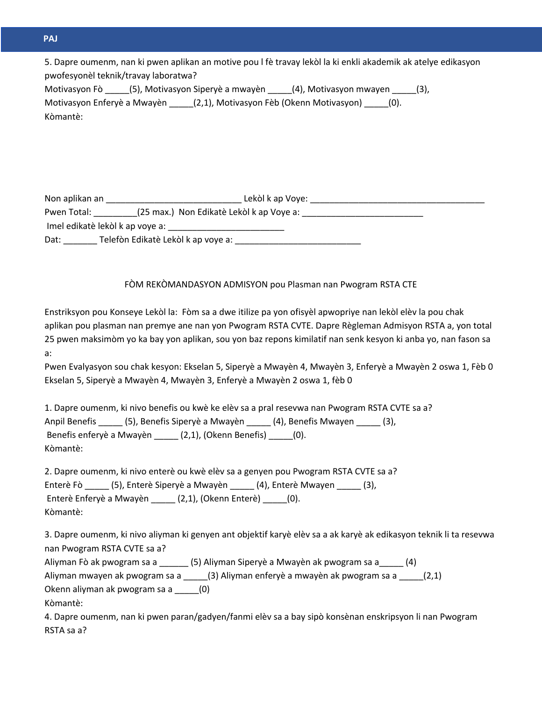| 5. Dapre oumenm, nan ki pwen aplikan an motive pou I fè travay lekòl la ki enkli akademik ak atelye edikasyon |
|---------------------------------------------------------------------------------------------------------------|
| pwofesyonèl teknik/travay laboratwa?                                                                          |
| Motivasyon Fò (5), Motivasyon Siperyè a mwayèn (4), Motivasyon mwayen (3),                                    |
| Motivasyon Enferyè a Mwayèn (2,1), Motivasyon Fèb (Okenn Motivasyon) (0).                                     |
| Kòmantè:                                                                                                      |

| Non aplikan an | Lekòl k ap Voye:                         |
|----------------|------------------------------------------|
| Pwen Total:    | (25 max.) Non Edikatè Lekòl k ap Voye a: |
|                | Imel edikatè lekòl k ap voye a:          |
| Dat:           | Telefòn Edikatè Lekòl k ap voye a:       |

### FÒM REKÒMANDASYON ADMISYON pou Plasman nan Pwogram RSTA CTE

Enstriksyon pou Konseye Lekòl la: Fòm sa a dwe itilize pa yon ofisyèl apwopriye nan lekòl elèv la pou chak aplikan pou plasman nan premye ane nan yon Pwogram RSTA CVTE. Dapre Règleman Admisyon RSTA a, yon total 25 pwen maksimòm yo ka bay yon aplikan, sou yon baz repons kimilatif nan senk kesyon ki anba yo, nan fason sa a:

Pwen Evalyasyon sou chak kesyon: Ekselan 5, Siperyè a Mwayèn 4, Mwayèn 3, Enferyè a Mwayèn 2 oswa 1, Fèb 0 Ekselan 5, Siperyè a Mwayèn 4, Mwayèn 3, Enferyè a Mwayèn 2 oswa 1, fèb 0

1. Dapre oumenm, ki nivo benefis ou kwè ke elèv sa a pral resevwa nan Pwogram RSTA CVTE sa a? Anpil Benefis \_\_\_\_\_ (5), Benefis Siperyè a Mwayèn \_\_\_\_\_ (4), Benefis Mwayen \_\_\_\_\_ (3), Benefis enferyè a Mwayèn \_\_\_\_\_ (2,1), (Okenn Benefis) \_\_\_\_\_(0). Kòmantè:

2. Dapre oumenm, ki nivo enterè ou kwè elèv sa a genyen pou Pwogram RSTA CVTE sa a? Enterè Fò \_\_\_\_\_ (5), Enterè Siperyè a Mwayèn \_\_\_\_\_ (4), Enterè Mwayen \_\_\_\_\_ (3), Enterè Enferyè a Mwayèn \_\_\_\_\_ (2,1), (Okenn Enterè) \_\_\_\_\_(0). Kòmantè:

3. Dapre oumenm, ki nivo aliyman ki genyen ant objektif karyè elèv sa a ak karyè ak edikasyon teknik li ta resevwa nan Pwogram RSTA CVTE sa a?

| (5) Aliyman Siperyè a Mwayèn ak pwogram sa a<br>Aliyman Fò ak pwogram sa a<br>(4)       |
|-----------------------------------------------------------------------------------------|
| (3) Aliyman enferyè a mwayèn ak pwogram sa a<br>Aliyman mwayen ak pwogram sa a<br>(2,1) |
| Okenn aliyman ak pwogram sa a<br>(O)                                                    |
| Kòmantè:                                                                                |

4. Dapre oumenm, nan ki pwen paran/gadyen/fanmi elèv sa a bay sipò konsènan enskripsyon li nan Pwogram RSTA sa a?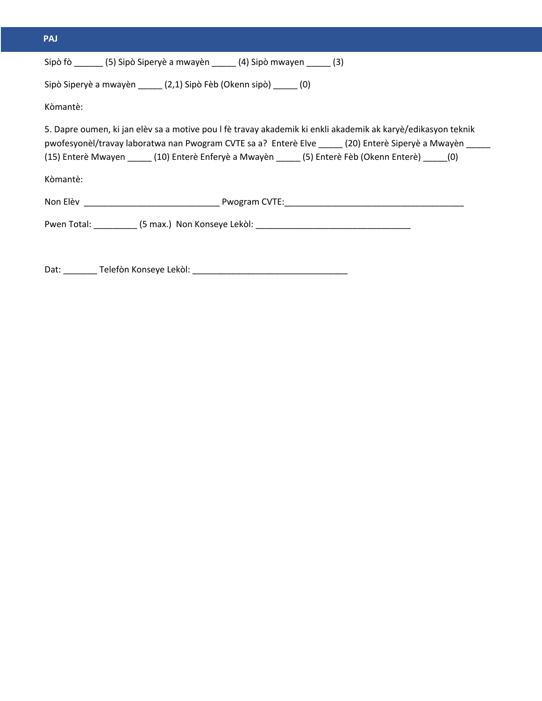| PAJ      |                                                                                                                                                                                                                                                                                                               |
|----------|---------------------------------------------------------------------------------------------------------------------------------------------------------------------------------------------------------------------------------------------------------------------------------------------------------------|
|          | Sipò fò ________ (5) Sipò Siperyè a mwayèn _______ (4) Sipò mwayen ______ (3)                                                                                                                                                                                                                                 |
|          | Sipò Siperyè a mwayèn (2,1) Sipò Fèb (Okenn sipò) (0)                                                                                                                                                                                                                                                         |
| Kòmantè: |                                                                                                                                                                                                                                                                                                               |
| Kòmantè: | 5. Dapre oumen, ki jan elèv sa a motive pou I fè travay akademik ki enkli akademik ak karyè/edikasyon teknik<br>pwofesyonèl/travay laboratwa nan Pwogram CVTE sa a? Enterè Elve _____ (20) Enterè Siperyè a Mwayèn _____<br>(15) Enterè Mwayen (10) Enterè Enferyè a Mwayèn (5) Enterè Fèb (Okenn Enterè) (0) |
|          |                                                                                                                                                                                                                                                                                                               |
|          | Pwen Total: (5 max.) Non Konseye Lekol: example and the control of the set of the control of the control of the control of the control of the control of the control of the control of the control of the control of the contr                                                                                |
|          |                                                                                                                                                                                                                                                                                                               |
|          |                                                                                                                                                                                                                                                                                                               |

Dat: \_\_\_\_\_\_\_ Telefòn Konseye Lekòl: \_\_\_\_\_\_\_\_\_\_\_\_\_\_\_\_\_\_\_\_\_\_\_\_\_\_\_\_\_\_\_\_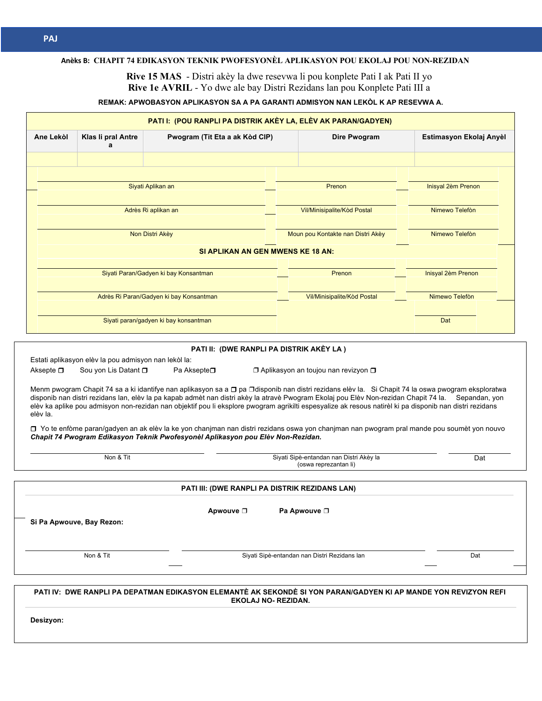#### **Arabi Anèks B: CHAPIT 74 EDIKASYON TEKNIK PWOFESYONÈL APLIKASYON POU EKOLAJ POU NON-REZIDAN**

**Rive 15 MAS** - Distri akèy la dwe resevwa li pou konplete Pati I ak Pati II yo **Rive 1e AVRIL** - Yo dwe ale bay Distri Rezidans lan pou Konplete Pati III a

### **REMAK: APWOBASYON APLIKASYON SA A PA GARANTI ADMISYON NAN LEKÒL K AP RESEVWA A.**

|                               | Klas li pral Antre<br>a   | Pwogram (Tit Eta a ak Kòd CIP)                                                                                                                                                                                                                                                                                                                                                                                                                                                                                                                  | Dire Pwogram                                                     | Estimasyon Ekolaj Anyèl |
|-------------------------------|---------------------------|-------------------------------------------------------------------------------------------------------------------------------------------------------------------------------------------------------------------------------------------------------------------------------------------------------------------------------------------------------------------------------------------------------------------------------------------------------------------------------------------------------------------------------------------------|------------------------------------------------------------------|-------------------------|
|                               |                           | Siyati Aplikan an                                                                                                                                                                                                                                                                                                                                                                                                                                                                                                                               | Prenon                                                           | Inisyal 2èm Prenon      |
|                               |                           |                                                                                                                                                                                                                                                                                                                                                                                                                                                                                                                                                 |                                                                  |                         |
|                               |                           | Adrès Ri aplikan an                                                                                                                                                                                                                                                                                                                                                                                                                                                                                                                             | Vil/Minisipalite/Kod Postal                                      | Nimewo Telefòn          |
|                               |                           | Non Distri Akèy                                                                                                                                                                                                                                                                                                                                                                                                                                                                                                                                 | Moun pou Kontakte nan Distri Akèy                                | Nimewo Telefòn          |
|                               |                           | SI APLIKAN AN GEN MWENS KE 18 AN:                                                                                                                                                                                                                                                                                                                                                                                                                                                                                                               |                                                                  |                         |
|                               |                           | Siyati Paran/Gadyen ki bay Konsantman                                                                                                                                                                                                                                                                                                                                                                                                                                                                                                           | Prenon                                                           | Inisyal 2èm Prenon      |
|                               |                           | Adrès Ri Paran/Gadyen ki bay Konsantman                                                                                                                                                                                                                                                                                                                                                                                                                                                                                                         | Vil/Minisipalite/Kòd Postal                                      | Nimewo Telefòn          |
|                               |                           | Siyati paran/gadyen ki bay konsantman                                                                                                                                                                                                                                                                                                                                                                                                                                                                                                           |                                                                  | Dat                     |
|                               | Sou yon Lis Datant D      | Estati aplikasyon elèv la pou admisyon nan lekòl la:<br>Pa Aksepte <b>□</b><br>Menm pwogram Chapit 74 sa a ki idantifye nan aplikasyon sa a □ pa □disponib nan distri rezidans elèv la. Si Chapit 74 la oswa pwogram eksploratwa                                                                                                                                                                                                                                                                                                                | $\Box$ Aplikasyon an toujou nan revizyon $\Box$                  |                         |
|                               |                           | disponib nan distri rezidans lan, elèv la pa kapab admèt nan distri akèy la atravè Pwogram Ekolaj pou Elèv Non-rezidan Chapit 74 la. Sepandan, yon<br>elèv ka aplike pou admisyon non-rezidan nan objektif pou li eksplore pwogram agrikilti espesyalize ak resous natirèl ki pa disponib nan distri rezidans<br>□ Yo te enfòme paran/gadyen an ak elèv la ke yon chanjman nan distri rezidans oswa yon chanjman nan pwogram pral mande pou soumèt yon nouvo<br>Chapit 74 Pwogram Edikasyon Teknik Pwofesyonèl Aplikasyon pou Elèv Non-Rezidan. |                                                                  |                         |
|                               | Non & Tit                 |                                                                                                                                                                                                                                                                                                                                                                                                                                                                                                                                                 | Siyati Sipè-entandan nan Distri Akèy la<br>(oswa reprezantan li) | Dat                     |
| Aksepte $\square$<br>elèv la. |                           | PATI III: (DWE RANPLI PA DISTRIK REZIDANS LAN)                                                                                                                                                                                                                                                                                                                                                                                                                                                                                                  |                                                                  |                         |
|                               | Si Pa Apwouve, Bay Rezon: | Apwouve <b>□</b>                                                                                                                                                                                                                                                                                                                                                                                                                                                                                                                                | Pa Apwouve □                                                     |                         |
|                               | Non & Tit                 |                                                                                                                                                                                                                                                                                                                                                                                                                                                                                                                                                 | Siyati Sipè-entandan nan Distri Rezidans lan                     | Dat                     |

**Desizyon:**

**MER**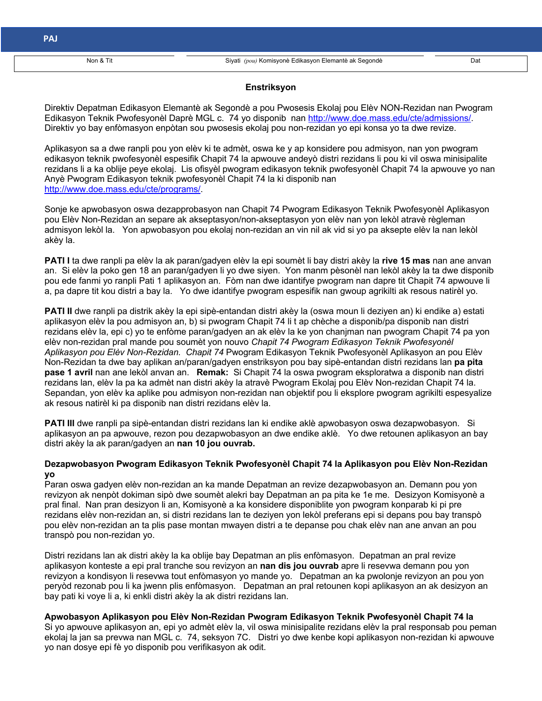### **Enstriksyon**

Direktiv Depatman Edikasyon Elemantè ak Segondè a pou Pwosesis Ekolaj pou Elèv NON-Rezidan nan Pwogram Edikasyon Teknik Pwofesyonèl Daprè MGL c. 74 yo disponib nan http://www.doe.mass.edu/cte/admissions/. Direktiv yo bay enfòmasyon enpòtan sou pwosesis ekolaj pou non-rezidan yo epi konsa yo ta dwe revize.

Aplikasyon sa a dwe ranpli pou yon elèv ki te admèt, oswa ke y ap konsidere pou admisyon, nan yon pwogram **17 -** edikasyon teknik pwofesyonèl espesifik Chapit 74 la apwouve andeyò distri rezidans li pou ki vil oswa minisipalite rezidans li a ka oblije peye ekolaj. Lis ofisyèl pwogram edikasyon teknik pwofesyonèl Chapit 74 la apwouve yo nan Anyè Pwogram Edikasyon teknik pwofesyonèl Chapit 74 la ki disponib nan http://www.doe.mass.edu/cte/programs/.

Sonje ke apwobasyon oswa dezapprobasyon nan Chapit 74 Pwogram Edikasyon Teknik Pwofesyonèl Aplikasyon pou Elèv Non-Rezidan an separe ak akseptasyon/non-akseptasyon yon elèv nan yon lekòl atravè règleman admisyon lekòl la. Yon apwobasyon pou ekolaj non-rezidan an vin nil ak vid si yo pa aksepte elèv la nan lekòl akèy la.

**PATI I** ta dwe ranpli pa elèv la ak paran/gadyen elèv la epi soumèt li bay distri akèy la **rive 15 mas** nan ane anvan an. Si elèv la poko gen 18 an paran/gadyen li yo dwe siyen. Yon manm pèsonèl nan lekòl akèy la ta dwe disponib pou ede fanmi yo ranpli Pati 1 aplikasyon an. Fòm nan dwe idantifye pwogram nan dapre tit Chapit 74 apwouve li a, pa dapre tit kou distri a bay la. Yo dwe idantifye pwogram espesifik nan gwoup agrikilti ak resous natirèl yo.

**PATI II** dwe ranpli pa distrik akèy la epi sipè-entandan distri akèy la (oswa moun li deziyen an) ki endike a) estati aplikasyon elèv la pou admisyon an, b) si pwogram Chapit 74 li t ap chèche a disponib/pa disponib nan distri rezidans elèv la, epi c) yo te enfòme paran/gadyen an ak elèv la ke yon chanjman nan pwogram Chapit 74 pa yon elèv non-rezidan pral mande pou soumèt yon nouvo *Chapit 74 Pwogram Edikasyon Teknik Pwofesyonèl Aplikasyon pou Elèv Non-Rezidan. Chapit 74* Pwogram Edikasyon Teknik Pwofesyonèl Aplikasyon an pou Elèv Non-Rezidan ta dwe bay aplikan an/paran/gadyen enstriksyon pou bay sipè-entandan distri rezidans lan **pa pita pase 1 avril** nan ane lekòl anvan an. **Remak:** Si Chapit 74 la oswa pwogram eksploratwa a disponib nan distri rezidans lan, elèv la pa ka admèt nan distri akèy la atravè Pwogram Ekolaj pou Elèv Non-rezidan Chapit 74 la. Sepandan, yon elèv ka aplike pou admisyon non-rezidan nan objektif pou li eksplore pwogram agrikilti espesyalize ak resous natirèl ki pa disponib nan distri rezidans elèv la.

**PATI III** dwe ranpli pa sipè-entandan distri rezidans lan ki endike aklè apwobasyon oswa dezapwobasyon. Si aplikasyon an pa apwouve, rezon pou dezapwobasyon an dwe endike aklè. Yo dwe retounen aplikasyon an bay distri akèy la ak paran/gadyen an **nan 10 jou ouvrab.** 

### **Dezapwobasyon Pwogram Edikasyon Teknik Pwofesyonèl Chapit 74 la Aplikasyon pou Elèv Non-Rezidan yo**

Paran oswa gadyen elèv non-rezidan an ka mande Depatman an revize dezapwobasyon an. Demann pou yon revizyon ak nenpòt dokiman sipò dwe soumèt alekri bay Depatman an pa pita ke 1e me. Desizyon Komisyonè a pral final. Nan pran desizyon li an, Komisyonè a ka konsidere disponiblite yon pwogram konparab ki pi pre rezidans elèv non-rezidan an, si distri rezidans lan te deziyen yon lekòl preferans epi si depans pou bay transpò pou elèv non-rezidan an ta plis pase montan mwayen distri a te depanse pou chak elèv nan ane anvan an pou transpò pou non-rezidan yo.

Distri rezidans lan ak distri akèy la ka oblije bay Depatman an plis enfòmasyon. Depatman an pral revize aplikasyon konteste a epi pral tranche sou revizyon an **nan dis jou ouvrab** apre li resevwa demann pou yon revizyon a kondisyon li resevwa tout enfòmasyon yo mande yo. Depatman an ka pwolonje revizyon an pou yon peryòd rezonab pou li ka jwenn plis enfòmasyon. Depatman an pral retounen kopi aplikasyon an ak desizyon an bay pati ki voye li a, ki enkli distri akèy la ak distri rezidans lan.

**Apwobasyon Aplikasyon pou Elèv Non-Rezidan Pwogram Edikasyon Teknik Pwofesyonèl Chapit 74 la** Si yo apwouve aplikasyon an, epi yo admèt elèv la, vil oswa minisipalite rezidans elèv la pral responsab pou peman ekolaj la jan sa prevwa nan MGL c. 74, seksyon 7C. Distri yo dwe kenbe kopi aplikasyon non-rezidan ki apwouve yo nan dosye epi fè yo disponib pou verifikasyon ak odit.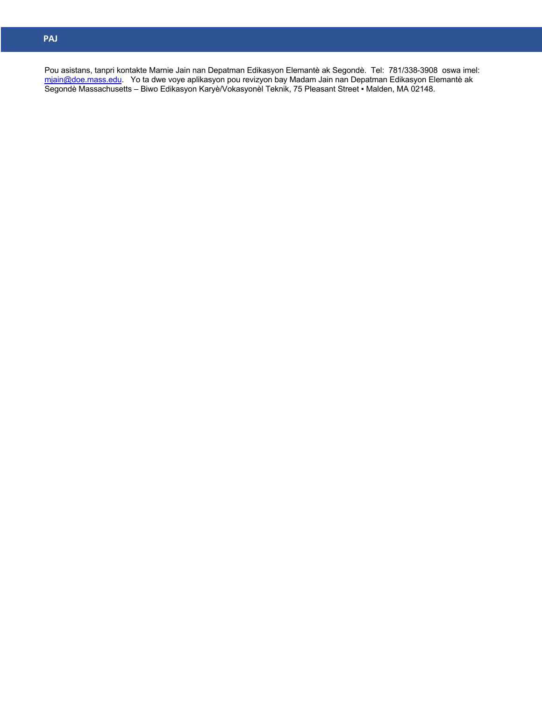**Arabi** <u>mjai</u> **h \\***  Pou asistans, tanpri kontakte Marnie Jain nan Depatman Edikasyon Elemantè ak Segondè. Tel: 781/338-3908 oswa imel: mjain@doe.mass.edu. Yo ta dwe voye aplikasyon pou revizyon bay Madam Jain nan Depatman Edikasyon Elemantè ak Segondè Massachusetts – Biwo Edikasyon Karyè/Vokasyonèl Teknik, 75 Pleasant Street ▪ Malden, MA 02148.